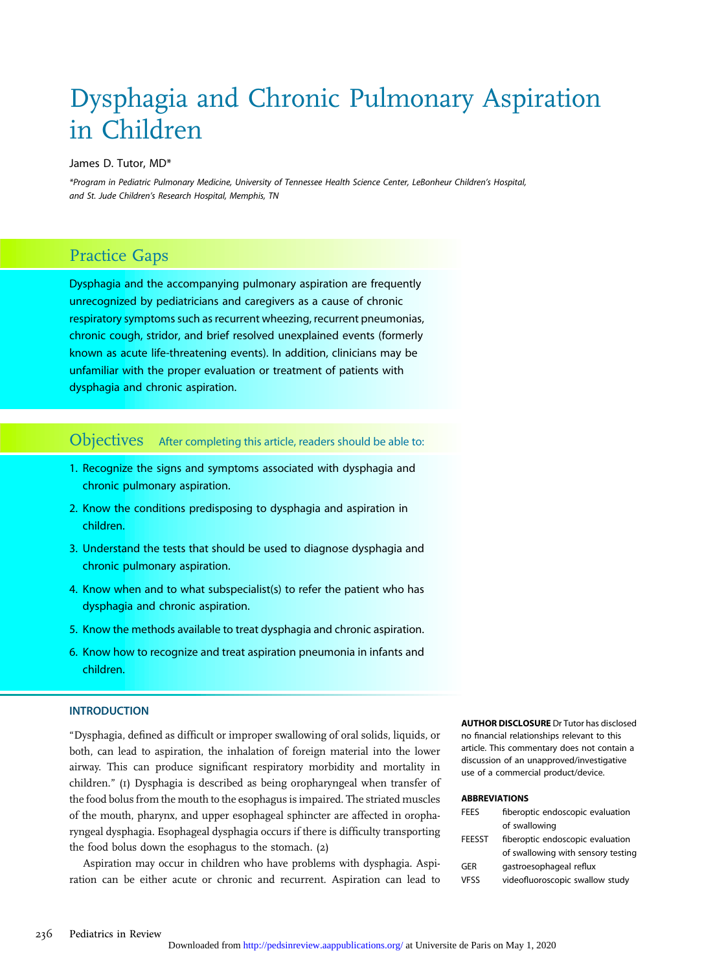# Dysphagia and Chronic Pulmonary Aspiration in Children

#### James D. Tutor, MD\*

\*Program in Pediatric Pulmonary Medicine, University of Tennessee Health Science Center, LeBonheur Children's Hospital, and St. Jude Children's Research Hospital, Memphis, TN

# Practice Gaps

Dysphagia and the accompanying pulmonary aspiration are frequently unrecognized by pediatricians and caregivers as a cause of chronic respiratory symptoms such as recurrent wheezing, recurrent pneumonias, chronic cough, stridor, and brief resolved unexplained events (formerly known as acute life-threatening events). In addition, clinicians may be unfamiliar with the proper evaluation or treatment of patients with dysphagia and chronic aspiration.

# Objectives After completing this article, readers should be able to:

- 1. Recognize the signs and symptoms associated with dysphagia and chronic pulmonary aspiration.
- 2. Know the conditions predisposing to dysphagia and aspiration in children.
- 3. Understand the tests that should be used to diagnose dysphagia and chronic pulmonary aspiration.
- 4. Know when and to what subspecialist(s) to refer the patient who has dysphagia and chronic aspiration.
- 5. Know the methods available to treat dysphagia and chronic aspiration.
- 6. Know how to recognize and treat aspiration pneumonia in infants and children.

## **INTRODUCTION**

"Dysphagia, defined as difficult or improper swallowing of oral solids, liquids, or both, can lead to aspiration, the inhalation of foreign material into the lower airway. This can produce significant respiratory morbidity and mortality in children." (1) Dysphagia is described as being oropharyngeal when transfer of the food bolus from the mouth to the esophagus is impaired. The striated muscles of the mouth, pharynx, and upper esophageal sphincter are affected in oropharyngeal dysphagia. Esophageal dysphagia occurs if there is difficulty transporting the food bolus down the esophagus to the stomach. (2)

Aspiration may occur in children who have problems with dysphagia. Aspiration can be either acute or chronic and recurrent. Aspiration can lead to AUTHOR DISCLOSURE Dr Tutor has disclosed no financial relationships relevant to this article. This commentary does not contain a discussion of an unapproved/investigative use of a commercial product/device.

#### ABBREVIATIONS

| <b>FFFS</b>   | fiberoptic endoscopic evaluation   |
|---------------|------------------------------------|
|               | of swallowing                      |
| <b>FEESST</b> | fiberoptic endoscopic evaluation   |
|               | of swallowing with sensory testing |
| GER           | gastroesophageal reflux            |
| <b>VFSS</b>   | videofluoroscopic swallow study    |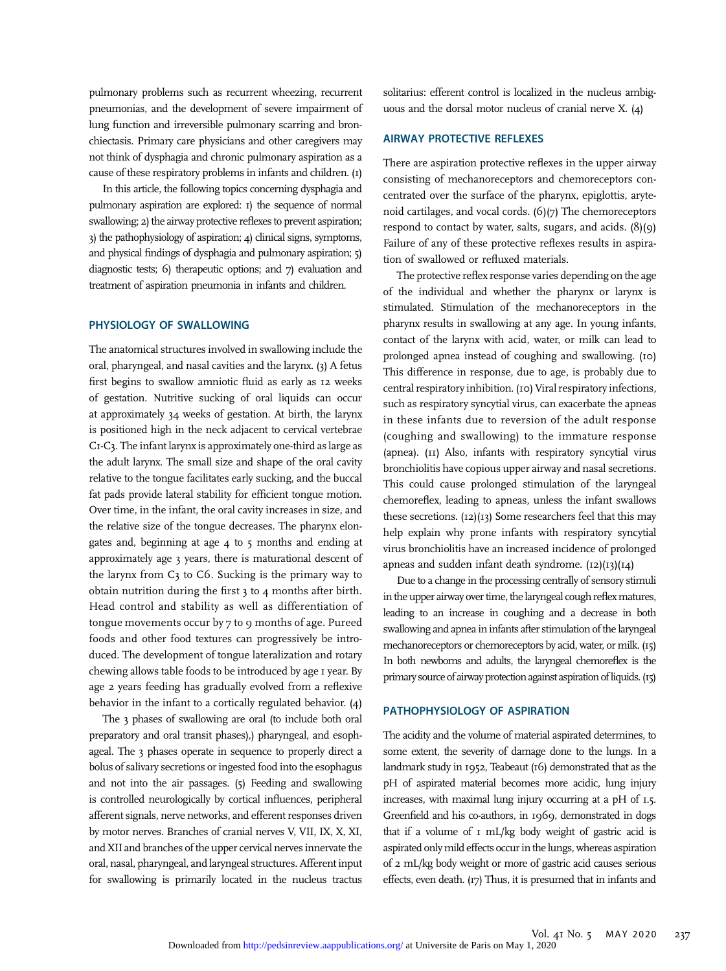pulmonary problems such as recurrent wheezing, recurrent pneumonias, and the development of severe impairment of lung function and irreversible pulmonary scarring and bronchiectasis. Primary care physicians and other caregivers may not think of dysphagia and chronic pulmonary aspiration as a cause of these respiratory problems in infants and children. (1)

In this article, the following topics concerning dysphagia and pulmonary aspiration are explored: 1) the sequence of normal swallowing; 2) the airway protective reflexes to prevent aspiration; 3) the pathophysiology of aspiration; 4) clinical signs, symptoms, and physical findings of dysphagia and pulmonary aspiration; 5) diagnostic tests; 6) therapeutic options; and 7) evaluation and treatment of aspiration pneumonia in infants and children.

# PHYSIOLOGY OF SWALLOWING

The anatomical structures involved in swallowing include the oral, pharyngeal, and nasal cavities and the larynx. (3) A fetus first begins to swallow amniotic fluid as early as 12 weeks of gestation. Nutritive sucking of oral liquids can occur at approximately 34 weeks of gestation. At birth, the larynx is positioned high in the neck adjacent to cervical vertebrae C1-C3. The infant larynx is approximately one-third as large as the adult larynx. The small size and shape of the oral cavity relative to the tongue facilitates early sucking, and the buccal fat pads provide lateral stability for efficient tongue motion. Over time, in the infant, the oral cavity increases in size, and the relative size of the tongue decreases. The pharynx elongates and, beginning at age 4 to 5 months and ending at approximately age 3 years, there is maturational descent of the larynx from C3 to C6. Sucking is the primary way to obtain nutrition during the first 3 to 4 months after birth. Head control and stability as well as differentiation of tongue movements occur by 7 to 9 months of age. Pureed foods and other food textures can progressively be introduced. The development of tongue lateralization and rotary chewing allows table foods to be introduced by age 1 year. By age 2 years feeding has gradually evolved from a reflexive behavior in the infant to a cortically regulated behavior. (4)

The 3 phases of swallowing are oral (to include both oral preparatory and oral transit phases),) pharyngeal, and esophageal. The 3 phases operate in sequence to properly direct a bolus of salivary secretions or ingested food into the esophagus and not into the air passages. (5) Feeding and swallowing is controlled neurologically by cortical influences, peripheral afferent signals, nerve networks, and efferent responses driven by motor nerves. Branches of cranial nerves V, VII, IX, X, XI, and XII and branches of the upper cervical nerves innervate the oral, nasal, pharyngeal, and laryngeal structures. Afferent input for swallowing is primarily located in the nucleus tractus

solitarius: efferent control is localized in the nucleus ambiguous and the dorsal motor nucleus of cranial nerve X. (4)

# AIRWAY PROTECTIVE REFLEXES

There are aspiration protective reflexes in the upper airway consisting of mechanoreceptors and chemoreceptors concentrated over the surface of the pharynx, epiglottis, arytenoid cartilages, and vocal cords. (6)(7) The chemoreceptors respond to contact by water, salts, sugars, and acids. (8)(9) Failure of any of these protective reflexes results in aspiration of swallowed or refluxed materials.

The protective reflex response varies depending on the age of the individual and whether the pharynx or larynx is stimulated. Stimulation of the mechanoreceptors in the pharynx results in swallowing at any age. In young infants, contact of the larynx with acid, water, or milk can lead to prolonged apnea instead of coughing and swallowing. (10) This difference in response, due to age, is probably due to central respiratory inhibition. (10) Viral respiratory infections, such as respiratory syncytial virus, can exacerbate the apneas in these infants due to reversion of the adult response (coughing and swallowing) to the immature response (apnea). (11) Also, infants with respiratory syncytial virus bronchiolitis have copious upper airway and nasal secretions. This could cause prolonged stimulation of the laryngeal chemoreflex, leading to apneas, unless the infant swallows these secretions. (12)(13) Some researchers feel that this may help explain why prone infants with respiratory syncytial virus bronchiolitis have an increased incidence of prolonged apneas and sudden infant death syndrome.  $(12)(13)(14)$ 

Due to a change in the processing centrally of sensory stimuli in the upper airway over time, the laryngeal cough reflex matures, leading to an increase in coughing and a decrease in both swallowing and apnea in infants after stimulation of the laryngeal mechanoreceptors or chemoreceptors by acid, water, or milk. (15) In both newborns and adults, the laryngeal chemoreflex is the primary source of airway protection against aspiration of liquids. (15)

## PATHOPHYSIOLOGY OF ASPIRATION

The acidity and the volume of material aspirated determines, to some extent, the severity of damage done to the lungs. In a landmark study in 1952, Teabeaut (16) demonstrated that as the pH of aspirated material becomes more acidic, lung injury increases, with maximal lung injury occurring at a pH of 1.5. Greenfield and his co-authors, in 1969, demonstrated in dogs that if a volume of 1 mL/kg body weight of gastric acid is aspirated only mild effects occurin the lungs, whereas aspiration of 2 mL/kg body weight or more of gastric acid causes serious effects, even death. (17) Thus, it is presumed that in infants and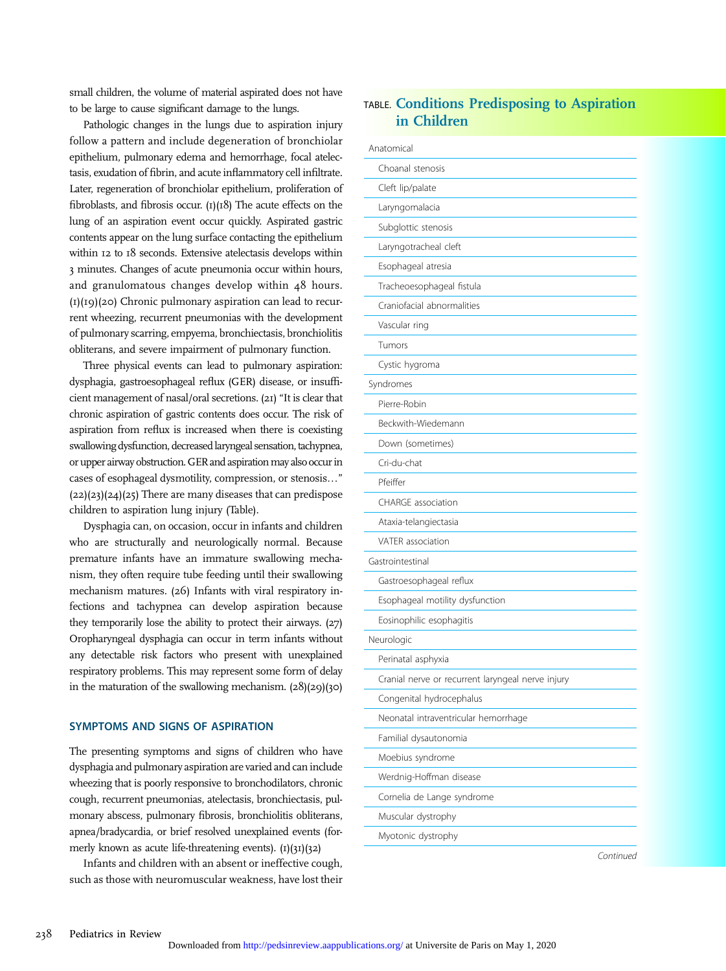small children, the volume of material aspirated does not have to be large to cause significant damage to the lungs.

Pathologic changes in the lungs due to aspiration injury follow a pattern and include degeneration of bronchiolar epithelium, pulmonary edema and hemorrhage, focal atelectasis, exudation of fibrin, and acute inflammatory cell infiltrate. Later, regeneration of bronchiolar epithelium, proliferation of fibroblasts, and fibrosis occur.  $(I)(I8)$  The acute effects on the lung of an aspiration event occur quickly. Aspirated gastric contents appear on the lung surface contacting the epithelium within 12 to 18 seconds. Extensive atelectasis develops within 3 minutes. Changes of acute pneumonia occur within hours, and granulomatous changes develop within 48 hours.  $(I)(I9)(20)$  Chronic pulmonary aspiration can lead to recurrent wheezing, recurrent pneumonias with the development of pulmonary scarring, empyema, bronchiectasis, bronchiolitis obliterans, and severe impairment of pulmonary function.

Three physical events can lead to pulmonary aspiration: dysphagia, gastroesophageal reflux (GER) disease, or insufficient management of nasal/oral secretions. (21) "It is clear that chronic aspiration of gastric contents does occur. The risk of aspiration from reflux is increased when there is coexisting swallowing dysfunction, decreased laryngeal sensation, tachypnea, or upper airway obstruction. GER and aspiration may also occur in cases of esophageal dysmotility, compression, or stenosis..."  $(22)(23)(24)(25)$  There are many diseases that can predispose children to aspiration lung injury (Table).

Dysphagia can, on occasion, occur in infants and children who are structurally and neurologically normal. Because premature infants have an immature swallowing mechanism, they often require tube feeding until their swallowing mechanism matures. (26) Infants with viral respiratory infections and tachypnea can develop aspiration because they temporarily lose the ability to protect their airways. (27) Oropharyngeal dysphagia can occur in term infants without any detectable risk factors who present with unexplained respiratory problems. This may represent some form of delay in the maturation of the swallowing mechanism.  $(28)(29)(30)$ 

#### SYMPTOMS AND SIGNS OF ASPIRATION

The presenting symptoms and signs of children who have dysphagia and pulmonary aspiration are varied and can include wheezing that is poorly responsive to bronchodilators, chronic cough, recurrent pneumonias, atelectasis, bronchiectasis, pulmonary abscess, pulmonary fibrosis, bronchiolitis obliterans, apnea/bradycardia, or brief resolved unexplained events (formerly known as acute life-threatening events).  $(1)(31)(32)$ 

Infants and children with an absent or ineffective cough, such as those with neuromuscular weakness, have lost their

# TABLE. Conditions Predisposing to Aspiration in Children

| Anatomical                                        |  |  |
|---------------------------------------------------|--|--|
| Choanal stenosis                                  |  |  |
| Cleft lip/palate                                  |  |  |
| Laryngomalacia                                    |  |  |
| Subglottic stenosis                               |  |  |
| Laryngotracheal cleft                             |  |  |
| Esophageal atresia                                |  |  |
| Tracheoesophageal fistula                         |  |  |
| Craniofacial abnormalities                        |  |  |
| Vascular ring                                     |  |  |
| Tumors                                            |  |  |
| Cystic hygroma                                    |  |  |
| Syndromes                                         |  |  |
| Pierre-Robin                                      |  |  |
| Beckwith-Wiedemann                                |  |  |
| Down (sometimes)                                  |  |  |
| Cri-du-chat                                       |  |  |
| Pfeiffer                                          |  |  |
| CHARGE association                                |  |  |
| Ataxia-telangiectasia                             |  |  |
| VATER association                                 |  |  |
| Gastrointestinal                                  |  |  |
| Gastroesophageal reflux                           |  |  |
| Esophageal motility dysfunction                   |  |  |
| Eosinophilic esophagitis                          |  |  |
| Neurologic                                        |  |  |
| Perinatal asphyxia                                |  |  |
| Cranial nerve or recurrent laryngeal nerve injury |  |  |
| Congenital hydrocephalus                          |  |  |
| Neonatal intraventricular hemorrhage              |  |  |
| Familial dysautonomia                             |  |  |
| Moebius syndrome                                  |  |  |
| Werdnig-Hoffman disease                           |  |  |
| Cornelia de Lange syndrome                        |  |  |
| Muscular dystrophy                                |  |  |
| Myotonic dystrophy                                |  |  |

Continued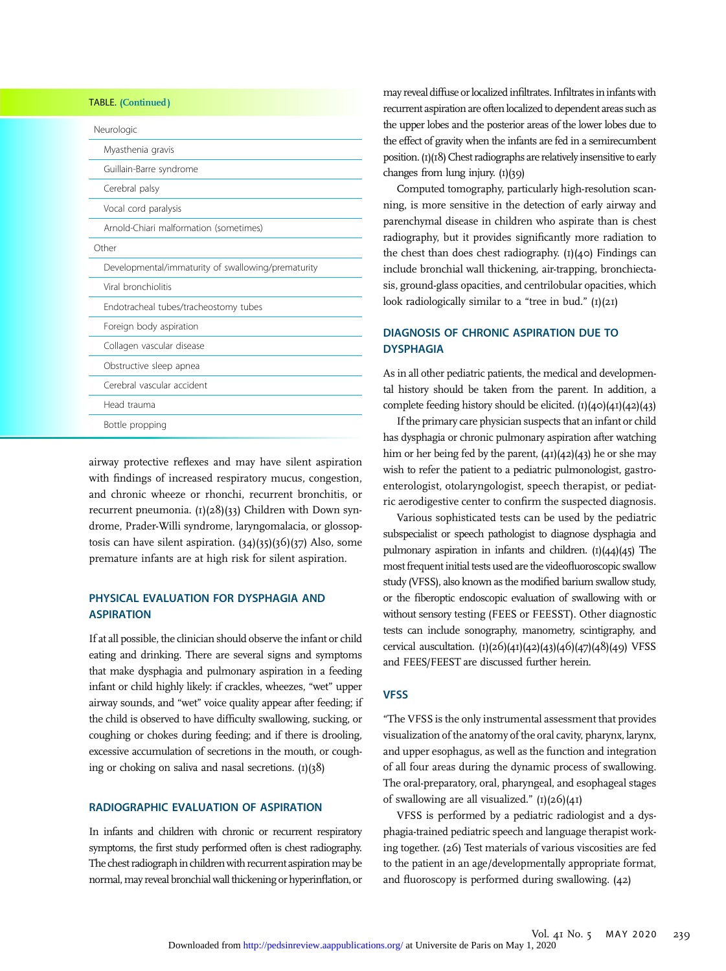| <b>TABLE.</b> (Continued)                          |  |  |
|----------------------------------------------------|--|--|
| Neurologic                                         |  |  |
| Myasthenia gravis                                  |  |  |
| Guillain-Barre syndrome                            |  |  |
| Cerebral palsy                                     |  |  |
| Vocal cord paralysis                               |  |  |
| Arnold-Chiari malformation (sometimes)             |  |  |
| Other                                              |  |  |
| Developmental/immaturity of swallowing/prematurity |  |  |
| Viral bronchiolitis                                |  |  |
| Endotracheal tubes/tracheostomy tubes              |  |  |
| Foreign body aspiration                            |  |  |
| Collagen vascular disease                          |  |  |
| Obstructive sleep apnea                            |  |  |
| Cerebral vascular accident                         |  |  |
| Head trauma                                        |  |  |
| Bottle propping                                    |  |  |

airway protective reflexes and may have silent aspiration with findings of increased respiratory mucus, congestion, and chronic wheeze or rhonchi, recurrent bronchitis, or recurrent pneumonia.  $(I)(28)(33)$  Children with Down syndrome, Prader-Willi syndrome, laryngomalacia, or glossoptosis can have silent aspiration. (34)(35)(36)(37) Also, some premature infants are at high risk for silent aspiration.

# PHYSICAL EVALUATION FOR DYSPHAGIA AND **ASPIRATION**

If at all possible, the clinician should observe the infant or child eating and drinking. There are several signs and symptoms that make dysphagia and pulmonary aspiration in a feeding infant or child highly likely: if crackles, wheezes, "wet" upper airway sounds, and "wet" voice quality appear after feeding; if the child is observed to have difficulty swallowing, sucking, or coughing or chokes during feeding; and if there is drooling, excessive accumulation of secretions in the mouth, or coughing or choking on saliva and nasal secretions.  $(I)(38)$ 

## RADIOGRAPHIC EVALUATION OF ASPIRATION

In infants and children with chronic or recurrent respiratory symptoms, the first study performed often is chest radiography. The chest radiograph in children with recurrent aspiration may be normal, may reveal bronchial wall thickening or hyperinflation, or

may reveal diffuse or localized infiltrates. Infiltrates in infants with recurrent aspiration are often localized to dependent areas such as the upper lobes and the posterior areas of the lower lobes due to the effect of gravity when the infants are fed in a semirecumbent position.  $(I)(I8)$  Chest radiographs are relatively insensitive to early changes from lung injury. (1)(39)

Computed tomography, particularly high-resolution scanning, is more sensitive in the detection of early airway and parenchymal disease in children who aspirate than is chest radiography, but it provides significantly more radiation to the chest than does chest radiography.  $(I)(40)$  Findings can include bronchial wall thickening, air-trapping, bronchiectasis, ground-glass opacities, and centrilobular opacities, which look radiologically similar to a "tree in bud."  $(I)(2I)$ 

# DIAGNOSIS OF CHRONIC ASPIRATION DUE TO DYSPHAGIA

As in all other pediatric patients, the medical and developmental history should be taken from the parent. In addition, a complete feeding history should be elicited.  $(I)(40)(41)(42)(43)$ 

If the primary care physician suspects that an infant or child has dysphagia or chronic pulmonary aspiration after watching him or her being fed by the parent, (41)(42)(43) he or she may wish to refer the patient to a pediatric pulmonologist, gastroenterologist, otolaryngologist, speech therapist, or pediatric aerodigestive center to confirm the suspected diagnosis.

Various sophisticated tests can be used by the pediatric subspecialist or speech pathologist to diagnose dysphagia and pulmonary aspiration in infants and children.  $(I)(44)(45)$  The most frequent initial tests used are the videofluoroscopic swallow study (VFSS), also known as the modified barium swallow study, or the fiberoptic endoscopic evaluation of swallowing with or without sensory testing (FEES or FEESST). Other diagnostic tests can include sonography, manometry, scintigraphy, and cervical auscultation. (1)(26)(41)(42)(43)(46)(47)(48)(49) VFSS and FEES/FEEST are discussed further herein.

# **VFSS**

"The VFSS is the only instrumental assessment that provides visualization of the anatomy of the oral cavity, pharynx, larynx, and upper esophagus, as well as the function and integration of all four areas during the dynamic process of swallowing. The oral-preparatory, oral, pharyngeal, and esophageal stages of swallowing are all visualized."  $(I)(26)(4I)$ 

VFSS is performed by a pediatric radiologist and a dysphagia-trained pediatric speech and language therapist working together. (26) Test materials of various viscosities are fed to the patient in an age/developmentally appropriate format, and fluoroscopy is performed during swallowing. (42)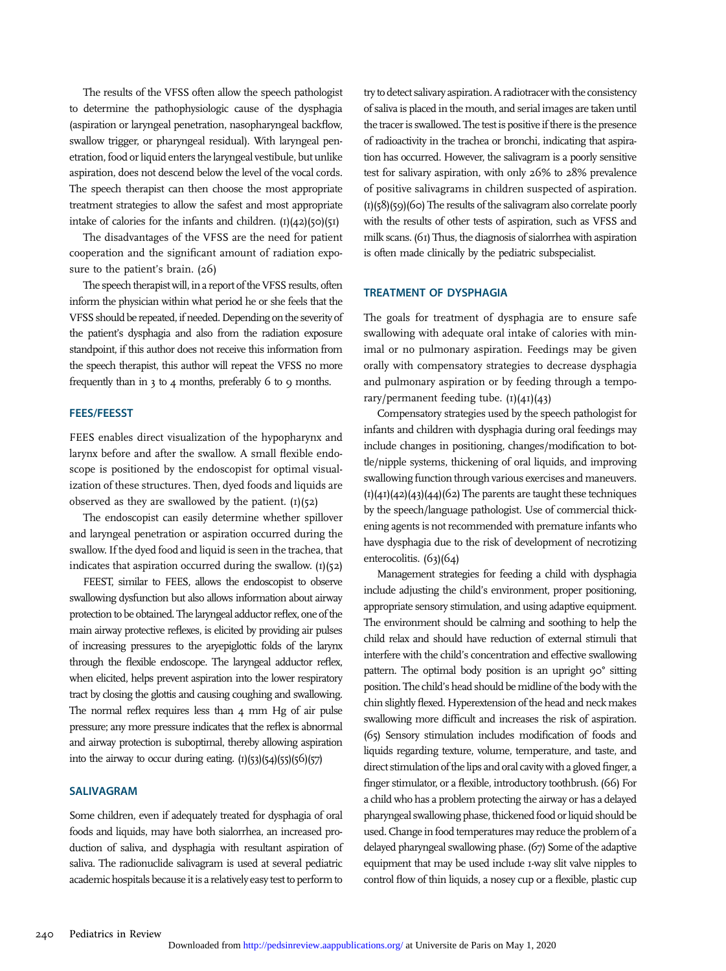The results of the VFSS often allow the speech pathologist to determine the pathophysiologic cause of the dysphagia (aspiration or laryngeal penetration, nasopharyngeal backflow, swallow trigger, or pharyngeal residual). With laryngeal penetration, food or liquid enters the laryngeal vestibule, but unlike aspiration, does not descend below the level of the vocal cords. The speech therapist can then choose the most appropriate treatment strategies to allow the safest and most appropriate intake of calories for the infants and children. (1)(42)(50)(51)

The disadvantages of the VFSS are the need for patient cooperation and the significant amount of radiation exposure to the patient's brain. (26)

The speech therapist will, in a report of the VFSS results, often inform the physician within what period he or she feels that the VFSS should be repeated, if needed. Depending onthe severity of the patient's dysphagia and also from the radiation exposure standpoint, if this author does not receive this information from the speech therapist, this author will repeat the VFSS no more frequently than in  $3$  to  $4$  months, preferably 6 to 9 months.

#### FEES/FEESST

FEES enables direct visualization of the hypopharynx and larynx before and after the swallow. A small flexible endoscope is positioned by the endoscopist for optimal visualization of these structures. Then, dyed foods and liquids are observed as they are swallowed by the patient.  $(I)(52)$ 

The endoscopist can easily determine whether spillover and laryngeal penetration or aspiration occurred during the swallow. If the dyed food and liquid is seen in the trachea, that indicates that aspiration occurred during the swallow.  $(I)(52)$ 

FEEST, similar to FEES, allows the endoscopist to observe swallowing dysfunction but also allows information about airway protection to be obtained. The laryngeal adductor reflex, one of the main airway protective reflexes, is elicited by providing air pulses of increasing pressures to the aryepiglottic folds of the larynx through the flexible endoscope. The laryngeal adductor reflex, when elicited, helps prevent aspiration into the lower respiratory tract by closing the glottis and causing coughing and swallowing. The normal reflex requires less than 4 mm Hg of air pulse pressure; any more pressure indicates that the reflex is abnormal and airway protection is suboptimal, thereby allowing aspiration into the airway to occur during eating. (1)(53)(54)(55)(56)(57)

# SALIVAGRAM

Some children, even if adequately treated for dysphagia of oral foods and liquids, may have both sialorrhea, an increased production of saliva, and dysphagia with resultant aspiration of saliva. The radionuclide salivagram is used at several pediatric academic hospitals because it is a relatively easy test to perform to

try to detect salivary aspiration. A radiotracer with the consistency of saliva is placed in the mouth, and serial images are taken until the tracer is swallowed. The test is positive if there is the presence of radioactivity in the trachea or bronchi, indicating that aspiration has occurred. However, the salivagram is a poorly sensitive test for salivary aspiration, with only 26% to 28% prevalence of positive salivagrams in children suspected of aspiration. (1)(58)(59)(60) The results of the salivagram also correlate poorly with the results of other tests of aspiration, such as VFSS and milk scans. (61) Thus, the diagnosis of sialorrhea with aspiration is often made clinically by the pediatric subspecialist.

## TREATMENT OF DYSPHAGIA

The goals for treatment of dysphagia are to ensure safe swallowing with adequate oral intake of calories with minimal or no pulmonary aspiration. Feedings may be given orally with compensatory strategies to decrease dysphagia and pulmonary aspiration or by feeding through a temporary/permanent feeding tube.  $(1)(41)(43)$ 

Compensatory strategies used by the speech pathologist for infants and children with dysphagia during oral feedings may include changes in positioning, changes/modification to bottle/nipple systems, thickening of oral liquids, and improving swallowing function through various exercises and maneuvers.  $(I)(41)(42)(43)(44)(62)$  The parents are taught these techniques by the speech/language pathologist. Use of commercial thickening agents is not recommended with premature infants who have dysphagia due to the risk of development of necrotizing enterocolitis. (63)(64)

Management strategies for feeding a child with dysphagia include adjusting the child's environment, proper positioning, appropriate sensory stimulation, and using adaptive equipment. The environment should be calming and soothing to help the child relax and should have reduction of external stimuli that interfere with the child's concentration and effective swallowing pattern. The optimal body position is an upright 90° sitting position. The child's head should be midline of the body with the chin slightly flexed. Hyperextension of the head and neck makes swallowing more difficult and increases the risk of aspiration. (65) Sensory stimulation includes modification of foods and liquids regarding texture, volume, temperature, and taste, and direct stimulation of the lips and oral cavity with a gloved finger, a finger stimulator, or a flexible, introductory toothbrush. (66) For a child who has a problem protecting the airway or has a delayed pharyngeal swallowing phase, thickened food or liquid should be used. Change in food temperatures may reduce the problem of a delayed pharyngeal swallowing phase. (67) Some of the adaptive equipment that may be used include 1-way slit valve nipples to control flow of thin liquids, a nosey cup or a flexible, plastic cup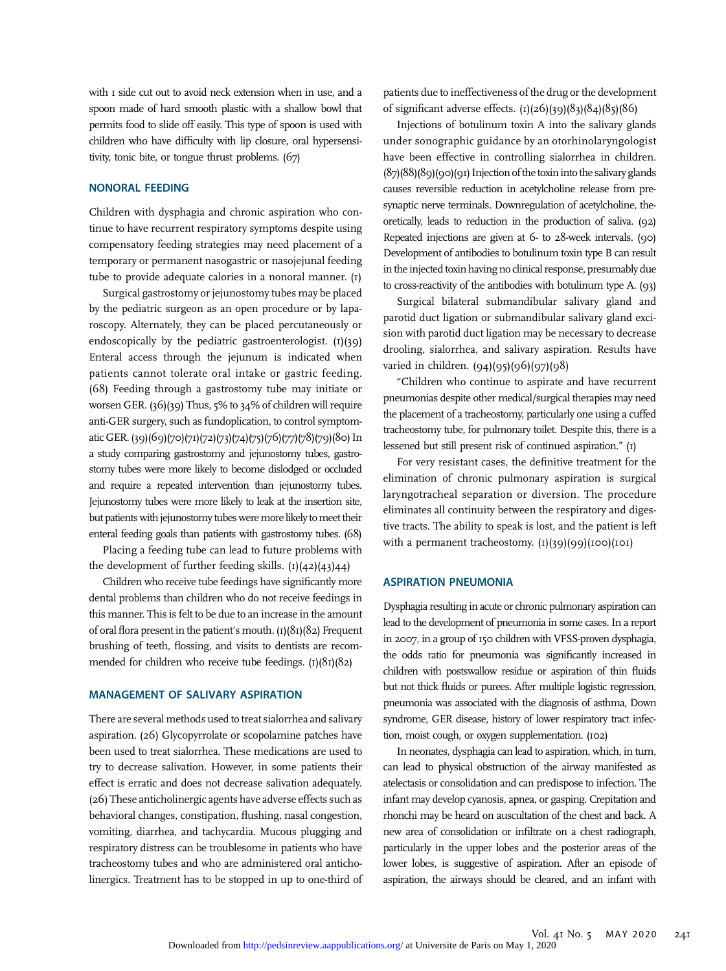with I side cut out to avoid neck extension when in use, and a spoon made of hard smooth plastic with a shallow bowl that permits food to slide off easily. This type of spoon is used with children who have difficulty with lip closure, oral hypersensitivity, tonic bite, or tongue thrust problems. (67)

#### NONORAL FEEDING

Children with dysphagia and chronic aspiration who continue to have recurrent respiratory symptoms despite using compensatory feeding strategies may need placement of a temporary or permanent nasogastric or nasojejunal feeding tube to provide adequate calories in a nonoral manner. (1)

Surgical gastrostomy or jejunostomy tubes may be placed by the pediatric surgeon as an open procedure or by laparoscopy. Alternately, they can be placed percutaneously or endoscopically by the pediatric gastroenterologist.  $(1)(39)$ Enteral access through the jejunum is indicated when patients cannot tolerate oral intake or gastric feeding. (68) Feeding through a gastrostomy tube may initiate or worsen GER. (36)(39) Thus, 5% to 34% of children will require anti-GER surgery, such as fundoplication, to control symptomatic GER. (39)(69)(70)(71)(72)(73)(74)(75)(76)(77)(78)(79)(80) In a study comparing gastrostomy and jejunostomy tubes, gastrostomy tubes were more likely to become dislodged or occluded and require a repeated intervention than jejunostomy tubes. Jejunostomy tubes were more likely to leak at the insertion site, but patients with jejunostomy tubes were more likely to meet their enteral feeding goals than patients with gastrostomy tubes. (68)

Placing a feeding tube can lead to future problems with the development of further feeding skills.  $(I)(42)(43)44$ 

Children who receive tube feedings have significantly more dental problems than children who do not receive feedings in this manner. This is felt to be due to an increase in the amount of oral flora present in the patient's mouth.  $(I)(8I)(82)$  Frequent brushing of teeth, flossing, and visits to dentists are recommended for children who receive tube feedings.  $(I)(8I)(82)$ 

#### MANAGEMENT OF SALIVARY ASPIRATION

There are several methods used to treat sialorrhea and salivary aspiration. (26) Glycopyrrolate or scopolamine patches have been used to treat sialorrhea. These medications are used to try to decrease salivation. However, in some patients their effect is erratic and does not decrease salivation adequately. (26) These anticholinergic agents have adverse effects such as behavioral changes, constipation, flushing, nasal congestion, vomiting, diarrhea, and tachycardia. Mucous plugging and respiratory distress can be troublesome in patients who have tracheostomy tubes and who are administered oral anticholinergics. Treatment has to be stopped in up to one-third of patients due to ineffectiveness of the drug or the development of significant adverse effects.  $(I)(26)(39)(83)(84)(85)(86)$ 

Injections of botulinum toxin A into the salivary glands under sonographic guidance by an otorhinolaryngologist have been effective in controlling sialorrhea in children.  $(87)(88)(89)(90)(91)$  Injection of the toxin into the salivary glands causes reversible reduction in acetylcholine release from presynaptic nerve terminals. Downregulation of acetylcholine, theoretically, leads to reduction in the production of saliva. (92) Repeated injections are given at 6- to 28-week intervals. (90) Development of antibodies to botulinum toxin type B can result inthe injected toxin having no clinical response, presumably due to cross-reactivity of the antibodies with botulinum type A. (93)

Surgical bilateral submandibular salivary gland and parotid duct ligation or submandibular salivary gland excision with parotid duct ligation may be necessary to decrease drooling, sialorrhea, and salivary aspiration. Results have varied in children. (94)(95)(96)(97)(98)

"Children who continue to aspirate and have recurrent pneumonias despite other medical/surgical therapies may need the placement of a tracheostomy, particularly one using a cuffed tracheostomy tube, for pulmonary toilet. Despite this, there is a lessened but still present risk of continued aspiration." (1)

For very resistant cases, the definitive treatment for the elimination of chronic pulmonary aspiration is surgical laryngotracheal separation or diversion. The procedure eliminates all continuity between the respiratory and digestive tracts. The ability to speak is lost, and the patient is left with a permanent tracheostomy.  $(I)(39)(99)(100)(101)$ 

#### ASPIRATION PNEUMONIA

Dysphagia resulting in acute or chronic pulmonary aspiration can lead to the development of pneumonia in some cases. In a report in 2007, in a group of 150 children with VFSS-proven dysphagia, the odds ratio for pneumonia was significantly increased in children with postswallow residue or aspiration of thin fluids but not thick fluids or purees. After multiple logistic regression, pneumonia was associated with the diagnosis of asthma, Down syndrome, GER disease, history of lower respiratory tract infection, moist cough, or oxygen supplementation. (102)

In neonates, dysphagia can lead to aspiration, which, in turn, can lead to physical obstruction of the airway manifested as atelectasis or consolidation and can predispose to infection. The infant may develop cyanosis, apnea, or gasping. Crepitation and rhonchi may be heard on auscultation of the chest and back. A new area of consolidation or infiltrate on a chest radiograph, particularly in the upper lobes and the posterior areas of the lower lobes, is suggestive of aspiration. After an episode of aspiration, the airways should be cleared, and an infant with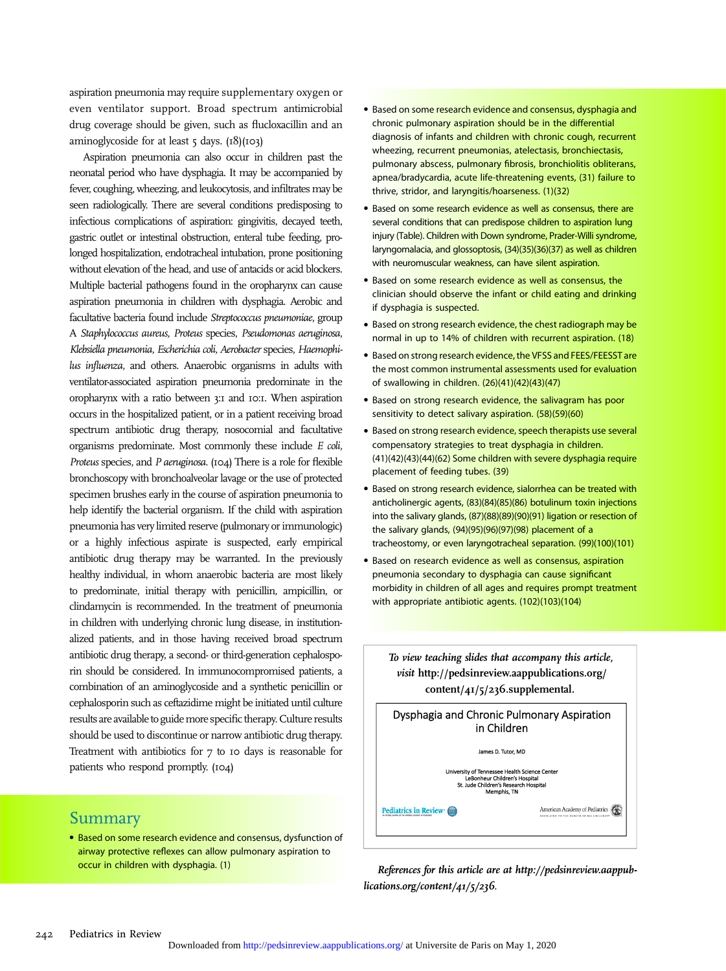aspiration pneumonia may require supplementary oxygen or even ventilator support. Broad spectrum antimicrobial drug coverage should be given, such as flucloxacillin and an aminoglycoside for at least  $5 \text{ days.}$  ( $18$ )( $103$ )

Aspiration pneumonia can also occur in children past the neonatal period who have dysphagia. It may be accompanied by fever, coughing, wheezing, and leukocytosis, and infiltrates may be seen radiologically. There are several conditions predisposing to infectious complications of aspiration: gingivitis, decayed teeth, gastric outlet or intestinal obstruction, enteral tube feeding, prolonged hospitalization, endotracheal intubation, prone positioning without elevation of the head, and use of antacids or acid blockers. Multiple bacterial pathogens found in the oropharynx can cause aspiration pneumonia in children with dysphagia. Aerobic and facultative bacteria found include Streptococcus pneumoniae, group A Staphylococcus aureus, Proteus species, Pseudomonas aeruginosa, Klebsiella pneumonia, Escherichia coli, Aerobacter species, Haemophilus influenza, and others. Anaerobic organisms in adults with ventilator-associated aspiration pneumonia predominate in the oropharynx with a ratio between 3:1 and 10:1. When aspiration occurs in the hospitalized patient, or in a patient receiving broad spectrum antibiotic drug therapy, nosocomial and facultative organisms predominate. Most commonly these include E coli, Proteus species, and P aeruginosa. (104) There is a role for flexible bronchoscopy with bronchoalveolar lavage or the use of protected specimen brushes early in the course of aspiration pneumonia to help identify the bacterial organism. If the child with aspiration pneumonia has very limited reserve (pulmonary or immunologic) or a highly infectious aspirate is suspected, early empirical antibiotic drug therapy may be warranted. In the previously healthy individual, in whom anaerobic bacteria are most likely to predominate, initial therapy with penicillin, ampicillin, or clindamycin is recommended. In the treatment of pneumonia in children with underlying chronic lung disease, in institutionalized patients, and in those having received broad spectrum antibiotic drug therapy, a second- or third-generation cephalosporin should be considered. In immunocompromised patients, a combination of an aminoglycoside and a synthetic penicillin or cephalosporin such as ceftazidime might be initiated until culture results are available to guide more specific therapy. Culture results should be used to discontinue or narrow antibiotic drug therapy. Treatment with antibiotics for 7 to 10 days is reasonable for patients who respond promptly. (104)

# Summary

• Based on some research evidence and consensus, dysfunction of airway protective reflexes can allow pulmonary aspiration to occur in children with dysphagia. (1)

- Based on some research evidence and consensus, dysphagia and chronic pulmonary aspiration should be in the differential diagnosis of infants and children with chronic cough, recurrent wheezing, recurrent pneumonias, atelectasis, bronchiectasis, pulmonary abscess, pulmonary fibrosis, bronchiolitis obliterans, apnea/bradycardia, acute life-threatening events, (31) failure to thrive, stridor, and laryngitis/hoarseness. (1)(32)
- Based on some research evidence as well as consensus, there are several conditions that can predispose children to aspiration lung injury (Table). Children with Down syndrome, Prader-Willi syndrome, laryngomalacia, and glossoptosis, (34)(35)(36)(37) as well as children with neuromuscular weakness, can have silent aspiration.
- Based on some research evidence as well as consensus, the clinician should observe the infant or child eating and drinking if dysphagia is suspected.
- Based on strong research evidence, the chest radiograph may be normal in up to 14% of children with recurrent aspiration. (18)
- Based on strong research evidence, the VFSS and FEES/FEESST are the most common instrumental assessments used for evaluation of swallowing in children. (26)(41)(42)(43)(47)
- Based on strong research evidence, the salivagram has poor sensitivity to detect salivary aspiration. (58)(59)(60)
- Based on strong research evidence, speech therapists use several compensatory strategies to treat dysphagia in children. (41)(42)(43)(44)(62) Some children with severe dysphagia require placement of feeding tubes. (39)
- Based on strong research evidence, sialorrhea can be treated with anticholinergic agents, (83)(84)(85)(86) botulinum toxin injections into the salivary glands, (87)(88)(89)(90)(91) ligation or resection of the salivary glands, (94)(95)(96)(97)(98) placement of a tracheostomy, or even laryngotracheal separation. (99)(100)(101)
- Based on research evidence as well as consensus, aspiration pneumonia secondary to dysphagia can cause significant morbidity in children of all ages and requires prompt treatment with appropriate antibiotic agents. (102)(103)(104)

To view teaching slides that accompany this article, visit [http://pedsinreview.aappublications.org/](http://pedsinreview.aappublications.org/content/41/5/236.supplemental) [content/41/5/236.supplemental](http://pedsinreview.aappublications.org/content/41/5/236.supplemental).



References for this article are at [http://pedsinreview.aappub](http://pedsinreview.aappublications.org/content/41/5/236)[lications.org/content/41/5/236](http://pedsinreview.aappublications.org/content/41/5/236).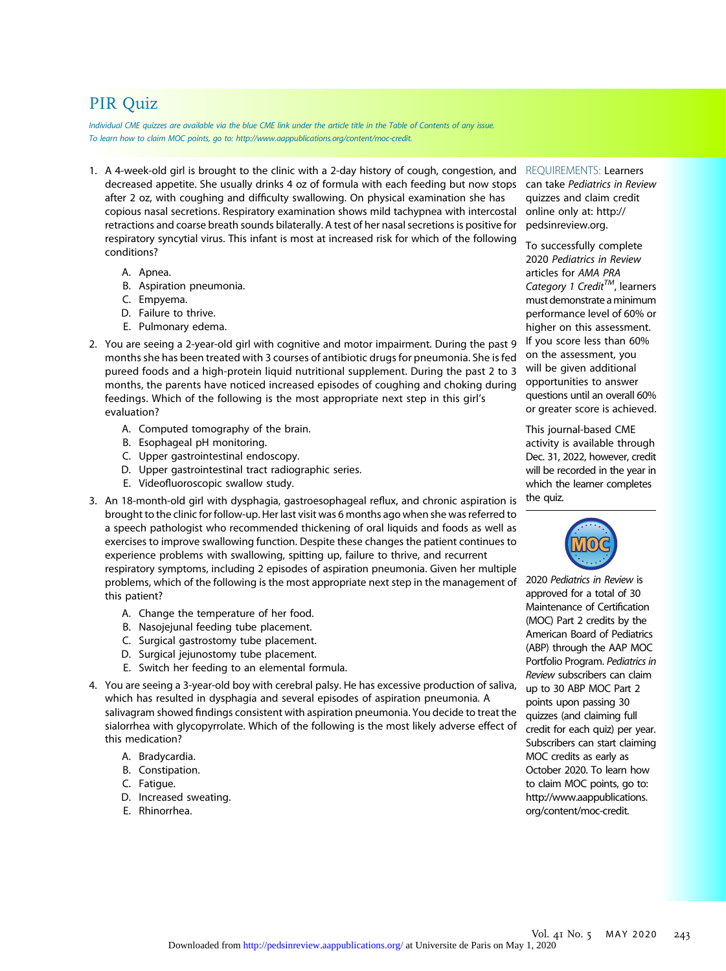# PIR Quiz

Individual CME quizzes are available via the blue CME link under the article title in the Table of Contents of any issue. To learn how to claim MOC points, go to: [http://www.aappublications.org/content/moc-credit.](http://www.aappublications.org/content/moc-credit)

- 1. A 4-week-old girl is brought to the clinic with a 2-day history of cough, congestion, and REQUIREMENTS: Learners decreased appetite. She usually drinks 4 oz of formula with each feeding but now stops after 2 oz, with coughing and difficulty swallowing. On physical examination she has copious nasal secretions. Respiratory examination shows mild tachypnea with intercostal retractions and coarse breath sounds bilaterally. A test of her nasal secretions is positive for respiratory syncytial virus. This infant is most at increased risk for which of the following conditions?
	- A. Apnea.
	- B. Aspiration pneumonia.
	- C. Empyema.
	- D. Failure to thrive.
	- E. Pulmonary edema.
- 2. You are seeing a 2-year-old girl with cognitive and motor impairment. During the past 9 months she has been treated with 3 courses of antibiotic drugs for pneumonia. She is fed pureed foods and a high-protein liquid nutritional supplement. During the past 2 to 3 months, the parents have noticed increased episodes of coughing and choking during feedings. Which of the following is the most appropriate next step in this girl's evaluation?
	- A. Computed tomography of the brain.
	- B. Esophageal pH monitoring.
	- C. Upper gastrointestinal endoscopy.
	- D. Upper gastrointestinal tract radiographic series.
	- E. Videofluoroscopic swallow study.

3. An 18-month-old girl with dysphagia, gastroesophageal reflux, and chronic aspiration is brought to the clinic for follow-up. Her last visit was 6 months ago when she was referred to a speech pathologist who recommended thickening of oral liquids and foods as well as exercises to improve swallowing function. Despite these changes the patient continues to experience problems with swallowing, spitting up, failure to thrive, and recurrent respiratory symptoms, including 2 episodes of aspiration pneumonia. Given her multiple problems, which of the following is the most appropriate next step in the management of this patient?

- A. Change the temperature of her food.
- B. Nasojejunal feeding tube placement.
- C. Surgical gastrostomy tube placement.
- D. Surgical jejunostomy tube placement.
- E. Switch her feeding to an elemental formula.
- 4. You are seeing a 3-year-old boy with cerebral palsy. He has excessive production of saliva, which has resulted in dysphagia and several episodes of aspiration pneumonia. A salivagram showed findings consistent with aspiration pneumonia. You decide to treat the sialorrhea with glycopyrrolate. Which of the following is the most likely adverse effect of this medication?
	- A. Bradycardia.
	- B. Constipation.
	- C. Fatigue.
	- D. Increased sweating.
	- E. Rhinorrhea.

can take Pediatrics in Review quizzes and claim credit online only at: [http://](http://pedsinreview.org) [pedsinreview.org](http://pedsinreview.org).

To successfully complete 2020 Pediatrics in Review articles for AMA PRA Category 1 Credit<sup>TM</sup>, learners must demonstrate aminimum performance level of 60% or higher on this assessment. If you score less than 60% on the assessment, you will be given additional opportunities to answer questions until an overall 60% or greater score is achieved.

This journal-based CME activity is available through Dec. 31, 2022, however, credit will be recorded in the year in which the learner completes the quiz.



2020 Pediatrics in Review is approved for a total of 30 Maintenance of Certification (MOC) Part 2 credits by the American Board of Pediatrics (ABP) through the AAP MOC Portfolio Program. Pediatrics in Review subscribers can claim up to 30 ABP MOC Part 2 points upon passing 30 quizzes (and claiming full credit for each quiz) per year. Subscribers can start claiming MOC credits as early as October 2020. To learn how to claim MOC points, go to: [http://www.aappublications.](http://www.aappublications.org/content/moc-credit) [org/content/moc-credit](http://www.aappublications.org/content/moc-credit).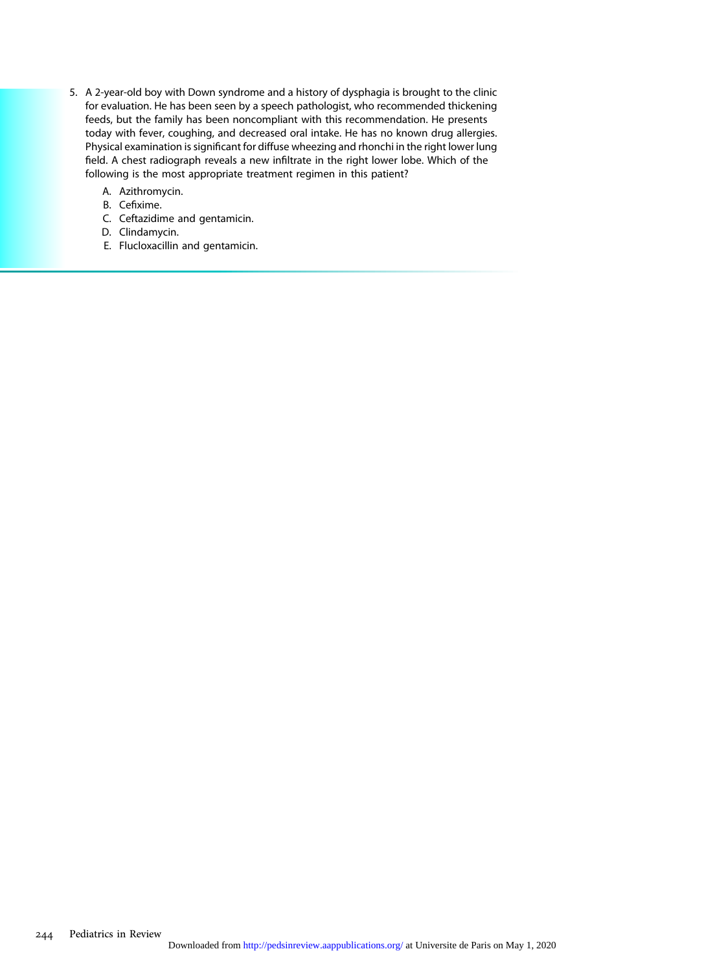- 5. A 2-year-old boy with Down syndrome and a history of dysphagia is brought to the clinic for evaluation. He has been seen by a speech pathologist, who recommended thickening feeds, but the family has been noncompliant with this recommendation. He presents today with fever, coughing, and decreased oral intake. He has no known drug allergies. Physical examination is significant for diffuse wheezing and rhonchi in the right lower lung field. A chest radiograph reveals a new infiltrate in the right lower lobe. Which of the following is the most appropriate treatment regimen in this patient?
	- A. Azithromycin.
	- B. Cefixime.
	- C. Ceftazidime and gentamicin.
	- D. Clindamycin.
	- E. Flucloxacillin and gentamicin.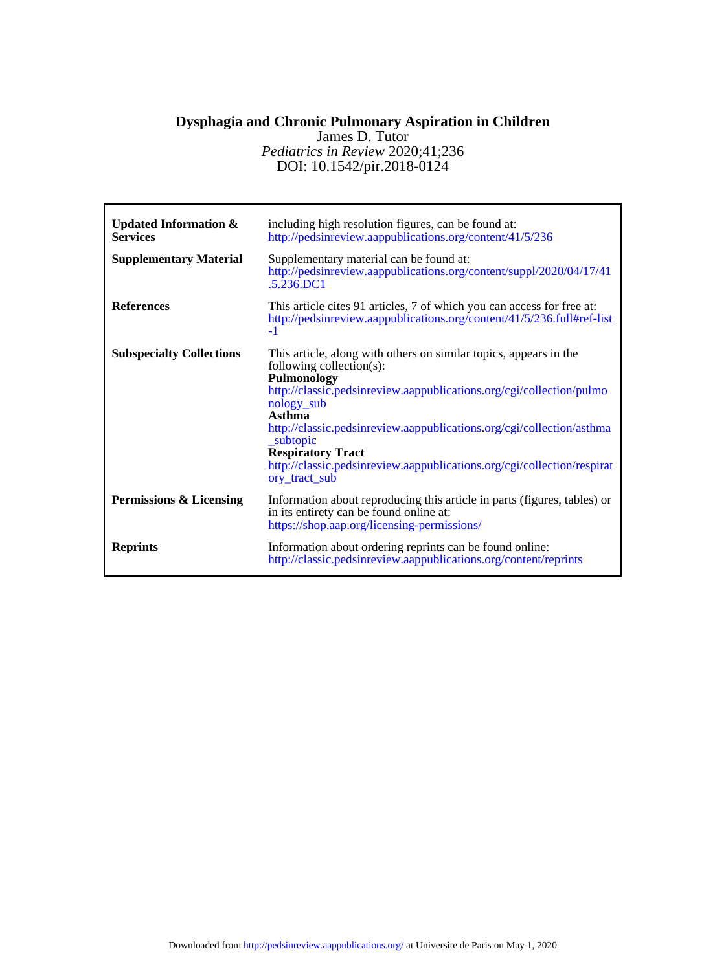# DOI: 10.1542/pir.2018-0124 *Pediatrics in Review* 2020;41;236 James D. Tutor **Dysphagia and Chronic Pulmonary Aspiration in Children**

| <b>Updated Information &amp;</b><br><b>Services</b><br><b>Supplementary Material</b> | including high resolution figures, can be found at:<br>http://pedsinreview.aappublications.org/content/41/5/236<br>Supplementary material can be found at:<br>http://pedsinreview.aappublications.org/content/suppl/2020/04/17/41<br>$5.236$ DC1                                                                                                                                                                          |
|--------------------------------------------------------------------------------------|---------------------------------------------------------------------------------------------------------------------------------------------------------------------------------------------------------------------------------------------------------------------------------------------------------------------------------------------------------------------------------------------------------------------------|
| <b>References</b>                                                                    | This article cites 91 articles, 7 of which you can access for free at:<br>http://pedsinreview.aappublications.org/content/41/5/236.full#ref-list<br>$-1$                                                                                                                                                                                                                                                                  |
| <b>Subspecialty Collections</b>                                                      | This article, along with others on similar topics, appears in the<br>following collection(s):<br>Pulmonology<br>http://classic.pedsinreview.aappublications.org/cgi/collection/pulmo<br>nology_sub<br>Asthma<br>http://classic.pedsinreview.aappublications.org/cgi/collection/asthma<br>subtopic<br><b>Respiratory Tract</b><br>http://classic.pedsinreview.aappublications.org/cgi/collection/respirat<br>ory tract sub |
| Permissions & Licensing                                                              | Information about reproducing this article in parts (figures, tables) or<br>in its entirety can be found online at:<br>https://shop.aap.org/licensing-permissions/                                                                                                                                                                                                                                                        |
| <b>Reprints</b>                                                                      | Information about ordering reprints can be found online:<br>http://classic.pedsinreview.aappublications.org/content/reprints                                                                                                                                                                                                                                                                                              |